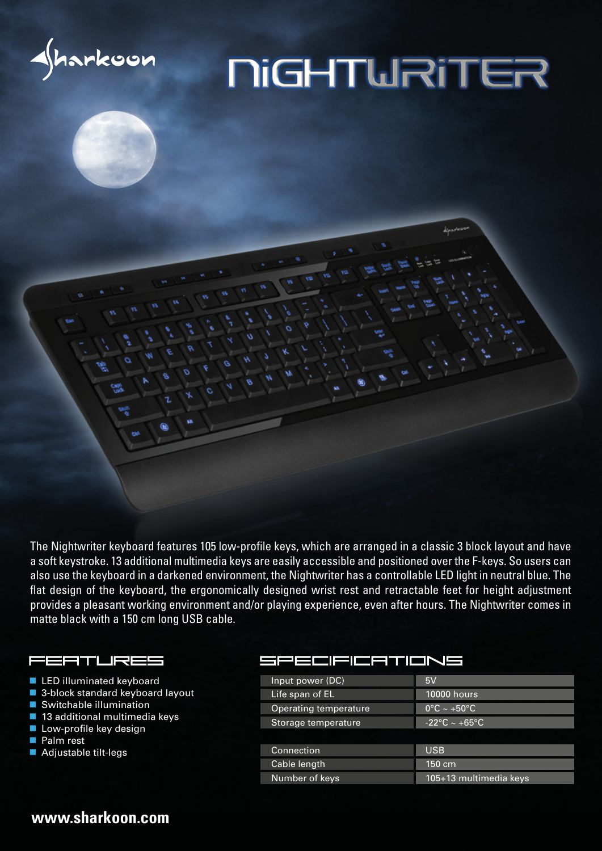

# **NiGHTWRITER**

The Nightwriter keyboard features 105 low-profile keys, which are arranged in a classic 3 block layout and have a soft keystroke. 13 additional multimedia keys are easily accessible and positioned over the F-keys. So users can also use the keyboard in a darkened environment, the Nightwriter has a controllable LED light in neutral blue. The flat design of the keyboard, the ergonomically designed wrist rest and retractable feet for height adjustment provides a pleasant working environment and/or playing experience, even after hours. The Nightwriter comes in matte black with a 150 cm long USB cable.

#### FITLKES

- **LED illuminated keyboard**
- 3-block standard keyboard layout
- Switchable illumination
- 13 additional multimedia keys
- **Low-profile key design**
- **Palm rest**
- Adjustable tilt-legs

#### **IFICATIONS**

| Input power (DC)      | 5V                               |
|-----------------------|----------------------------------|
| Life span of EL       | <b>10000 hours</b>               |
| Operating temperature | $0^{\circ}$ C ~ +50 $^{\circ}$ C |
| Storage temperature   | $-22\degree C \sim +65\degree C$ |
|                       |                                  |
| Connection            | <b>USB</b>                       |
| Cable length          | $150 \text{ cm}$                 |
| Number of keys        | 105+13 multimedia keys           |

### **www.sharkoon.com**